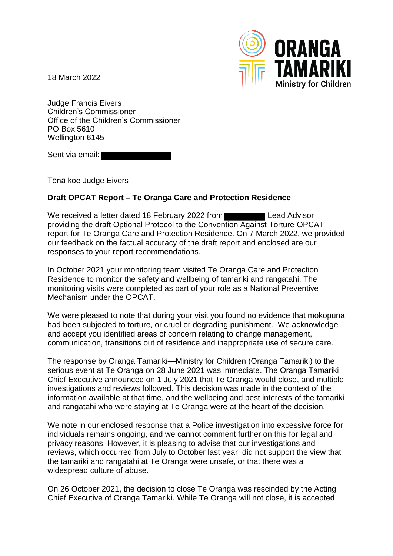18 March 2022



Judge Francis Eivers Children's Commissioner Office of the Children's Commissioner PO Box 5610 Wellington 6145

Sent via email:

Tēnā koe Judge Eivers

## **Draft OPCAT Report – Te Oranga Care and Protection Residence**

We received a letter dated 18 February 2022 from Lead Advisor providing the draft Optional Protocol to the Convention Against Torture OPCAT report for Te Oranga Care and Protection Residence. On 7 March 2022, we provided our feedback on the factual accuracy of the draft report and enclosed are our responses to your report recommendations.

In October 2021 your monitoring team visited Te Oranga Care and Protection Residence to monitor the safety and wellbeing of tamariki and rangatahi. The monitoring visits were completed as part of your role as a National Preventive Mechanism under the OPCAT.

We were pleased to note that during your visit you found no evidence that mokopuna had been subjected to torture, or cruel or degrading punishment. We acknowledge and accept you identified areas of concern relating to change management, communication, transitions out of residence and inappropriate use of secure care.

The response by Oranga Tamariki—Ministry for Children (Oranga Tamariki) to the serious event at Te Oranga on 28 June 2021 was immediate. The Oranga Tamariki Chief Executive announced on 1 July 2021 that Te Oranga would close, and multiple investigations and reviews followed. This decision was made in the context of the information available at that time, and the wellbeing and best interests of the tamariki and rangatahi who were staying at Te Oranga were at the heart of the decision.

We note in our enclosed response that a Police investigation into excessive force for individuals remains ongoing, and we cannot comment further on this for legal and privacy reasons. However, it is pleasing to advise that our investigations and reviews, which occurred from July to October last year, did not support the view that the tamariki and rangatahi at Te Oranga were unsafe, or that there was a widespread culture of abuse.

On 26 October 2021, the decision to close Te Oranga was rescinded by the Acting Chief Executive of Oranga Tamariki. While Te Oranga will not close, it is accepted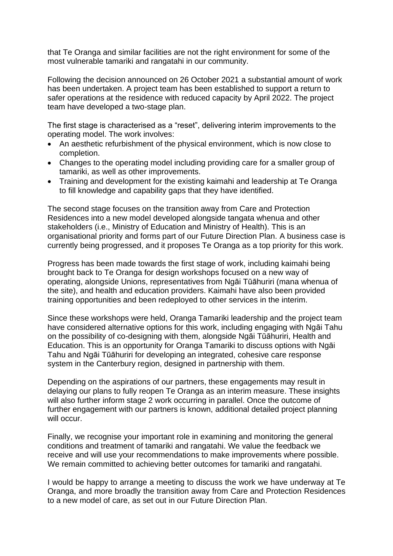that Te Oranga and similar facilities are not the right environment for some of the most vulnerable tamariki and rangatahi in our community.

Following the decision announced on 26 October 2021 a substantial amount of work has been undertaken. A project team has been established to support a return to safer operations at the residence with reduced capacity by April 2022. The project team have developed a two-stage plan.

The first stage is characterised as a "reset", delivering interim improvements to the operating model. The work involves:

- An aesthetic refurbishment of the physical environment, which is now close to completion.
- Changes to the operating model including providing care for a smaller group of tamariki, as well as other improvements.
- Training and development for the existing kaimahi and leadership at Te Oranga to fill knowledge and capability gaps that they have identified.

The second stage focuses on the transition away from Care and Protection Residences into a new model developed alongside tangata whenua and other stakeholders (i.e., Ministry of Education and Ministry of Health). This is an organisational priority and forms part of our Future Direction Plan. A business case is currently being progressed, and it proposes Te Oranga as a top priority for this work.

Progress has been made towards the first stage of work, including kaimahi being brought back to Te Oranga for design workshops focused on a new way of operating, alongside Unions, representatives from Ngāi Tūāhuriri (mana whenua of the site), and health and education providers. Kaimahi have also been provided training opportunities and been redeployed to other services in the interim.

Since these workshops were held, Oranga Tamariki leadership and the project team have considered alternative options for this work, including engaging with Ngāi Tahu on the possibility of co-designing with them, alongside Ngāi Tūāhuriri, Health and Education. This is an opportunity for Oranga Tamariki to discuss options with Ngāi Tahu and Ngāi Tūāhuriri for developing an integrated, cohesive care response system in the Canterbury region, designed in partnership with them.

Depending on the aspirations of our partners, these engagements may result in delaying our plans to fully reopen Te Oranga as an interim measure. These insights will also further inform stage 2 work occurring in parallel. Once the outcome of further engagement with our partners is known, additional detailed project planning will occur.

Finally, we recognise your important role in examining and monitoring the general conditions and treatment of tamariki and rangatahi. We value the feedback we receive and will use your recommendations to make improvements where possible. We remain committed to achieving better outcomes for tamariki and rangatahi.

I would be happy to arrange a meeting to discuss the work we have underway at Te Oranga, and more broadly the transition away from Care and Protection Residences to a new model of care, as set out in our Future Direction Plan.